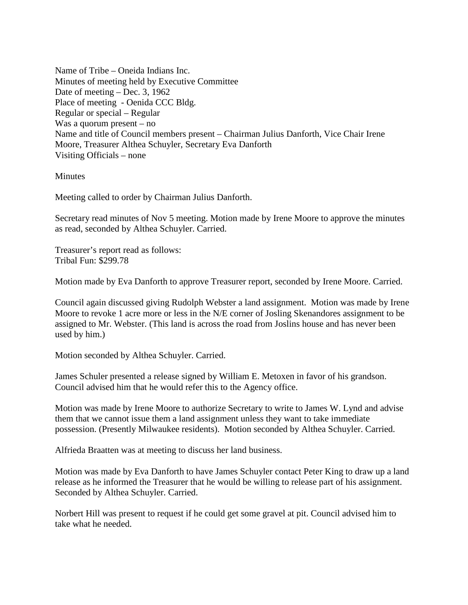Name of Tribe – Oneida Indians Inc. Minutes of meeting held by Executive Committee Date of meeting – Dec. 3, 1962 Place of meeting - Oenida CCC Bldg. Regular or special – Regular Was a quorum present – no Name and title of Council members present – Chairman Julius Danforth, Vice Chair Irene Moore, Treasurer Althea Schuyler, Secretary Eva Danforth Visiting Officials – none

**Minutes** 

Meeting called to order by Chairman Julius Danforth.

Secretary read minutes of Nov 5 meeting. Motion made by Irene Moore to approve the minutes as read, seconded by Althea Schuyler. Carried.

Treasurer's report read as follows: Tribal Fun: \$299.78

Motion made by Eva Danforth to approve Treasurer report, seconded by Irene Moore. Carried.

Council again discussed giving Rudolph Webster a land assignment. Motion was made by Irene Moore to revoke 1 acre more or less in the N/E corner of Josling Skenandores assignment to be assigned to Mr. Webster. (This land is across the road from Joslins house and has never been used by him.)

Motion seconded by Althea Schuyler. Carried.

James Schuler presented a release signed by William E. Metoxen in favor of his grandson. Council advised him that he would refer this to the Agency office.

Motion was made by Irene Moore to authorize Secretary to write to James W. Lynd and advise them that we cannot issue them a land assignment unless they want to take immediate possession. (Presently Milwaukee residents). Motion seconded by Althea Schuyler. Carried.

Alfrieda Braatten was at meeting to discuss her land business.

Motion was made by Eva Danforth to have James Schuyler contact Peter King to draw up a land release as he informed the Treasurer that he would be willing to release part of his assignment. Seconded by Althea Schuyler. Carried.

Norbert Hill was present to request if he could get some gravel at pit. Council advised him to take what he needed.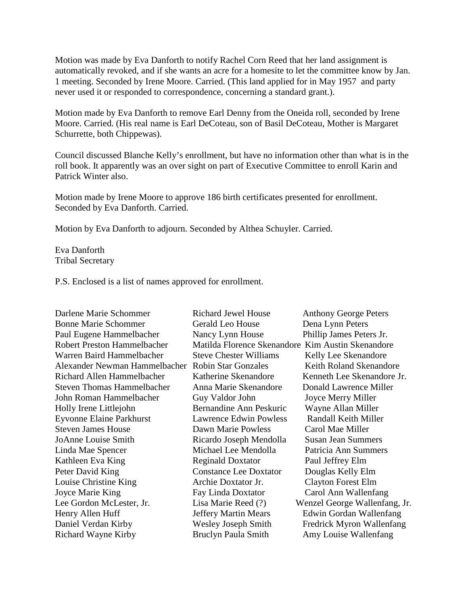Motion was made by Eva Danforth to notify Rachel Corn Reed that her land assignment is automatically revoked, and if she wants an acre for a homesite to let the committee know by Jan. 1 meeting. Seconded by Irene Moore. Carried. (This land applied for in May 1957 and party never used it or responded to correspondence, concerning a standard grant.).

Motion made by Eva Danforth to remove Earl Denny from the Oneida roll, seconded by Irene Moore. Carried. (His real name is Earl DeCoteau, son of Basil DeCoteau, Mother is Margaret Schurrette, both Chippewas).

Council discussed Blanche Kelly's enrollment, but have no information other than what is in the roll book. It apparently was an over sight on part of Executive Committee to enroll Karin and Patrick Winter also.

Motion made by Irene Moore to approve 186 birth certificates presented for enrollment. Seconded by Eva Danforth. Carried.

Motion by Eva Danforth to adjourn. Seconded by Althea Schuyler. Carried.

Eva Danforth Tribal Secretary

P.S. Enclosed is a list of names approved for enrollment.

| Darlene Marie Schommer             | <b>Richard Jewel House</b>    | <b>Anthony George Peters</b>  |
|------------------------------------|-------------------------------|-------------------------------|
| <b>Bonne Marie Schommer</b>        | <b>Gerald Leo House</b>       | Dena Lynn Peters              |
| Paul Eugene Hammelbacher           | Nancy Lynn House              | Phillip James Peters Jr.      |
| <b>Robert Preston Hammelbacher</b> | Matilda Florence Skenandore   | Kim Austin Skenandore         |
| Warren Baird Hammelbacher          | <b>Steve Chester Williams</b> | Kelly Lee Skenandore          |
| Alexander Newman Hammelbacher      | <b>Robin Star Gonzales</b>    | Keith Roland Skenandore       |
| Richard Allen Hammelbacher         | Katherine Skenandore          | Kenneth Lee Skenandore Jr.    |
| <b>Steven Thomas Hammelbacher</b>  | Anna Marie Skenandore         | Donald Lawrence Miller        |
| John Roman Hammelbacher            | Guy Valdor John               | Joyce Merry Miller            |
| Holly Irene Littlejohn             | Bernandine Ann Peskuric       | Wayne Allan Miller            |
| <b>Eyvonne Elaine Parkhurst</b>    | <b>Lawrence Edwin Powless</b> | Randall Keith Miller          |
| <b>Steven James House</b>          | Dawn Marie Powless            | Carol Mae Miller              |
| JoAnne Louise Smith                | Ricardo Joseph Mendolla       | <b>Susan Jean Summers</b>     |
| Linda Mae Spencer                  | Michael Lee Mendolla          | Patricia Ann Summers          |
| Kathleen Eva King                  | <b>Reginald Doxtator</b>      | Paul Jeffrey Elm              |
| Peter David King                   | <b>Constance Lee Doxtator</b> | Douglas Kelly Elm             |
| Louise Christine King              | Archie Doxtator Jr.           | <b>Clayton Forest Elm</b>     |
| Joyce Marie King                   | Fay Linda Doxtator            | Carol Ann Wallenfang          |
| Lee Gordon McLester, Jr.           | Lisa Marie Reed (?)           | Wenzel George Wallenfang, Jr. |
| Henry Allen Huff                   | <b>Jeffery Martin Mears</b>   | Edwin Gordan Wallenfang       |
| Daniel Verdan Kirby                | <b>Wesley Joseph Smith</b>    | Fredrick Myron Wallenfang     |
| Richard Wayne Kirby                | <b>Bruclyn Paula Smith</b>    | Amy Louise Wallenfang         |
|                                    |                               |                               |